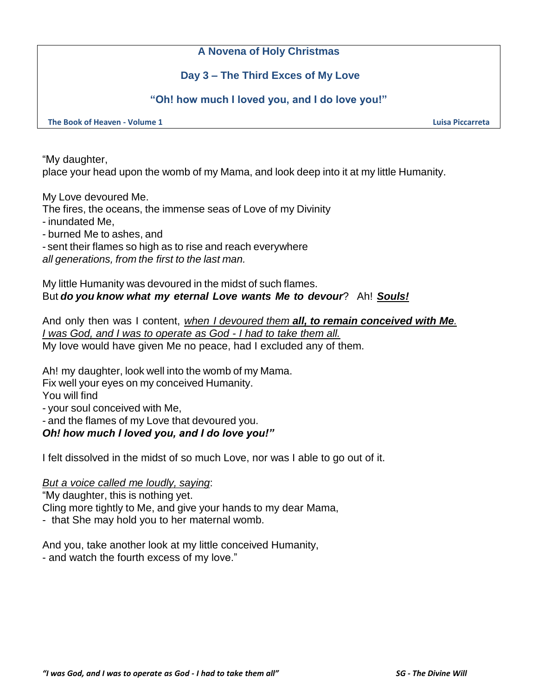# **A Novena of Holy Christmas**

# **Day 3 – The Third Exces of My Love**

## **"Oh! how much I loved you, and I do love you!"**

**The Book of Heaven - Volume 1 Luisa Piccarreta**

"My daughter,

place your head upon the womb of my Mama, and look deep into it at my little Humanity.

My Love devoured Me.

The fires, the oceans, the immense seas of Love of my Divinity

- inundated Me,

- burned Me to ashes, and

- sent their flames so high as to rise and reach everywhere *all generations, from the first to the last man.*

My little Humanity was devoured in the midst of such flames. But *do you know what my eternal Love wants Me to devour*? Ah! *Souls!*

And only then was I content, *when I devoured them all, to remain conceived with Me. I was God, and I was to operate as God - I had to take them all.* My love would have given Me no peace, had I excluded any of them.

Ah! my daughter, look well into the womb of my Mama.

Fix well your eyes on my conceived Humanity.

You will find

- your soul conceived with Me,

- and the flames of my Love that devoured you.

## *Oh! how much I loved you, and I do love you!"*

I felt dissolved in the midst of so much Love, nor was I able to go out of it.

#### *But a voice called me loudly, saying*:

"My daughter, this is nothing yet.

Cling more tightly to Me, and give your hands to my dear Mama,

- that She may hold you to her maternal womb.

And you, take another look at my little conceived Humanity, - and watch the fourth excess of my love."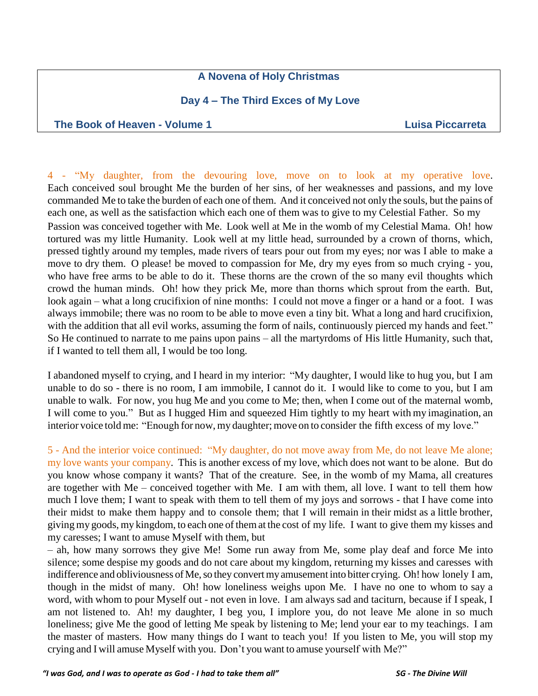# **A Novena of Holy Christmas**

# **Day 4 – The Third Exces of My Love**

#### **The Book of Heaven - Volume 1 Luisa Piccarreta**

4 - "My daughter, from the devouring love, move on to look at my operative love. Each conceived soul brought Me the burden of her sins, of her weaknesses and passions, and my love commanded Me to take the burden of each one of them. And it conceived not only the souls, but the pains of each one, as well as the satisfaction which each one of them was to give to my Celestial Father. So my Passion was conceived together with Me. Look well at Me in the womb of my Celestial Mama. Oh! how tortured was my little Humanity. Look well at my little head, surrounded by a crown of thorns, which, pressed tightly around my temples, made rivers of tears pour out from my eyes; nor was I able to make a move to dry them. O please! be moved to compassion for Me, dry my eyes from so much crying - you, who have free arms to be able to do it. These thorns are the crown of the so many evil thoughts which crowd the human minds. Oh! how they prick Me, more than thorns which sprout from the earth. But, look again – what a long crucifixion of nine months: I could not move a finger or a hand or a foot. I was always immobile; there was no room to be able to move even a tiny bit. What a long and hard crucifixion, with the addition that all evil works, assuming the form of nails, continuously pierced my hands and feet." So He continued to narrate to me pains upon pains – all the martyrdoms of His little Humanity, such that, if I wanted to tell them all, I would be too long.

I abandoned myself to crying, and I heard in my interior: "My daughter, I would like to hug you, but I am unable to do so - there is no room, I am immobile, I cannot do it. I would like to come to you, but I am unable to walk. For now, you hug Me and you come to Me; then, when I come out of the maternal womb, I will come to you." But as I hugged Him and squeezed Him tightly to my heart with my imagination, an interior voice told me: "Enough for now, my daughter; move on to consider the fifth excess of my love."

5 - And the interior voice continued: "My daughter, do not move away from Me, do not leave Me alone; my love wants your company. This is another excess of my love, which does not want to be alone. But do you know whose company it wants? That of the creature. See, in the womb of my Mama, all creatures are together with Me – conceived together with Me. I am with them, all love. I want to tell them how much I love them; I want to speak with them to tell them of my joys and sorrows - that I have come into their midst to make them happy and to console them; that I will remain in their midst as a little brother, giving my goods, my kingdom, to each one of them at the cost of my life. I want to give them my kisses and my caresses; I want to amuse Myself with them, but

– ah, how many sorrows they give Me! Some run away from Me, some play deaf and force Me into silence; some despise my goods and do not care about my kingdom, returning my kisses and caresses with indifference and obliviousness of Me, so they convert my amusement into bitter crying. Oh! how lonely I am, though in the midst of many. Oh! how loneliness weighs upon Me. I have no one to whom to say a word, with whom to pour Myself out - not even in love. I am always sad and taciturn, because if I speak, I am not listened to. Ah! my daughter, I beg you, I implore you, do not leave Me alone in so much loneliness; give Me the good of letting Me speak by listening to Me; lend your ear to my teachings. I am the master of masters. How many things do I want to teach you! If you listen to Me, you will stop my crying and I will amuse Myself with you. Don't you want to amuse yourself with Me?"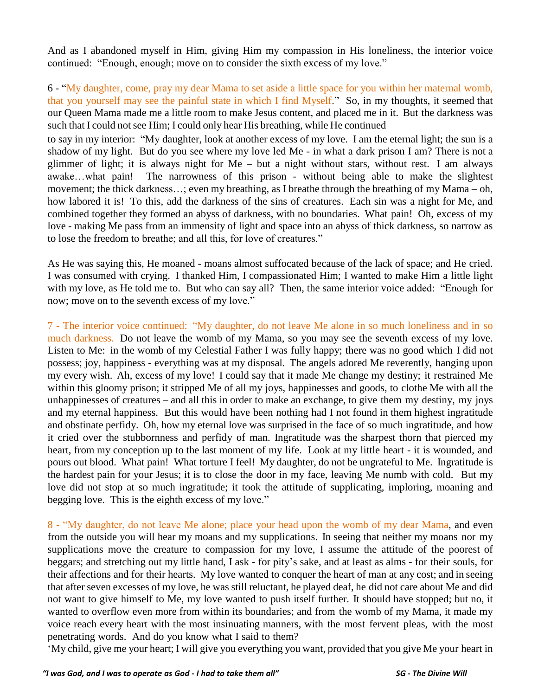And as I abandoned myself in Him, giving Him my compassion in His loneliness, the interior voice continued: "Enough, enough; move on to consider the sixth excess of my love."

6 - "My daughter, come, pray my dear Mama to set aside a little space for you within her maternal womb, that you yourself may see the painful state in which I find Myself." So, in my thoughts, it seemed that our Queen Mama made me a little room to make Jesus content, and placed me in it. But the darkness was such that I could not see Him; I could only hear His breathing, while He continued

to say in my interior: "My daughter, look at another excess of my love. I am the eternal light; the sun is a shadow of my light. But do you see where my love led Me - in what a dark prison I am? There is not a glimmer of light; it is always night for Me – but a night without stars, without rest. I am always awake…what pain! The narrowness of this prison - without being able to make the slightest movement; the thick darkness…; even my breathing, as I breathe through the breathing of my Mama – oh, how labored it is! To this, add the darkness of the sins of creatures. Each sin was a night for Me, and combined together they formed an abyss of darkness, with no boundaries. What pain! Oh, excess of my love - making Me pass from an immensity of light and space into an abyss of thick darkness, so narrow as to lose the freedom to breathe; and all this, for love of creatures."

As He was saying this, He moaned - moans almost suffocated because of the lack of space; and He cried. I was consumed with crying. I thanked Him, I compassionated Him; I wanted to make Him a little light with my love, as He told me to. But who can say all? Then, the same interior voice added: "Enough for now; move on to the seventh excess of my love."

7 - The interior voice continued: "My daughter, do not leave Me alone in so much loneliness and in so much darkness. Do not leave the womb of my Mama, so you may see the seventh excess of my love. Listen to Me: in the womb of my Celestial Father I was fully happy; there was no good which I did not possess; joy, happiness - everything was at my disposal. The angels adored Me reverently, hanging upon my every wish. Ah, excess of my love! I could say that it made Me change my destiny; it restrained Me within this gloomy prison; it stripped Me of all my joys, happinesses and goods, to clothe Me with all the unhappinesses of creatures – and all this in order to make an exchange, to give them my destiny, my joys and my eternal happiness. But this would have been nothing had I not found in them highest ingratitude and obstinate perfidy. Oh, how my eternal love was surprised in the face of so much ingratitude, and how it cried over the stubbornness and perfidy of man. Ingratitude was the sharpest thorn that pierced my heart, from my conception up to the last moment of my life. Look at my little heart - it is wounded, and pours out blood. What pain! What torture I feel! My daughter, do not be ungrateful to Me. Ingratitude is the hardest pain for your Jesus; it is to close the door in my face, leaving Me numb with cold. But my love did not stop at so much ingratitude; it took the attitude of supplicating, imploring, moaning and begging love. This is the eighth excess of my love."

8 - "My daughter, do not leave Me alone; place your head upon the womb of my dear Mama, and even from the outside you will hear my moans and my supplications. In seeing that neither my moans nor my supplications move the creature to compassion for my love, I assume the attitude of the poorest of beggars; and stretching out my little hand, I ask - for pity's sake, and at least as alms - for their souls, for their affections and for their hearts. My love wanted to conquer the heart of man at any cost; and in seeing that after seven excesses of my love, he was still reluctant, he played deaf, he did not care about Me and did not want to give himself to Me, my love wanted to push itself further. It should have stopped; but no, it wanted to overflow even more from within its boundaries; and from the womb of my Mama, it made my voice reach every heart with the most insinuating manners, with the most fervent pleas, with the most penetrating words. And do you know what I said to them?

'My child, give me your heart; I will give you everything you want, provided that you give Me your heart in